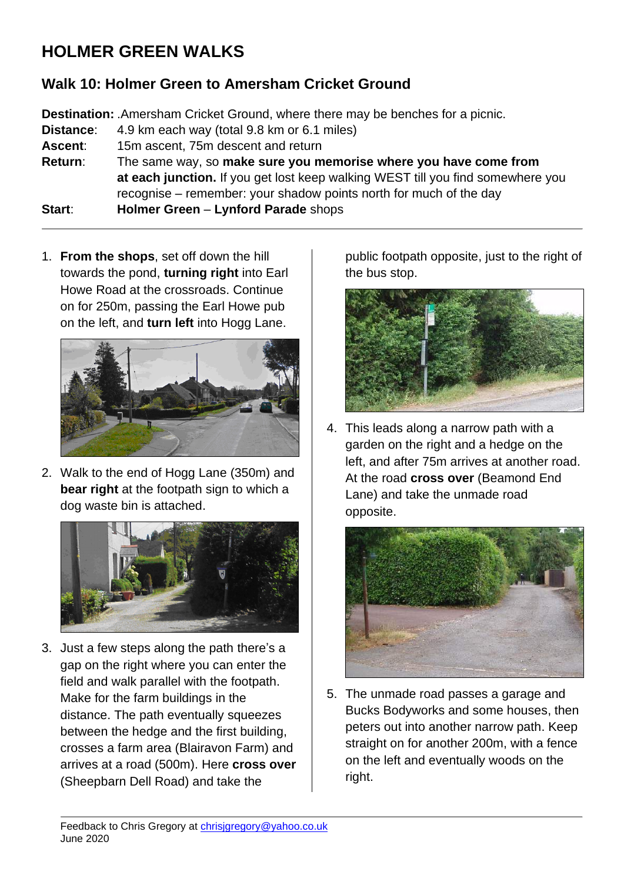## **HOLMER GREEN WALKS**

## **Walk 10: Holmer Green to Amersham Cricket Ground**

**Destination:** .Amersham Cricket Ground, where there may be benches for a picnic. **Distance**: 4.9 km each way (total 9.8 km or 6.1 miles) **Ascent**: 15m ascent, 75m descent and return **Return**: The same way, so **make sure you memorise where you have come from at each junction.** If you get lost keep walking WEST till you find somewhere you recognise – remember: your shadow points north for much of the day **Start**: **Holmer Green** – **Lynford Parade** shops

1. **From the shops**, set off down the hill towards the pond, **turning right** into Earl Howe Road at the crossroads. Continue on for 250m, passing the Earl Howe pub on the left, and **turn left** into Hogg Lane.



2. Walk to the end of Hogg Lane (350m) and **bear right** at the footpath sign to which a dog waste bin is attached.



3. Just a few steps along the path there's a gap on the right where you can enter the field and walk parallel with the footpath. Make for the farm buildings in the distance. The path eventually squeezes between the hedge and the first building, crosses a farm area (Blairavon Farm) and arrives at a road (500m). Here **cross over** (Sheepbarn Dell Road) and take the

public footpath opposite, just to the right of the bus stop.



4. This leads along a narrow path with a garden on the right and a hedge on the left, and after 75m arrives at another road. At the road **cross over** (Beamond End Lane) and take the unmade road opposite.



5. The unmade road passes a garage and Bucks Bodyworks and some houses, then peters out into another narrow path. Keep straight on for another 200m, with a fence on the left and eventually woods on the right.